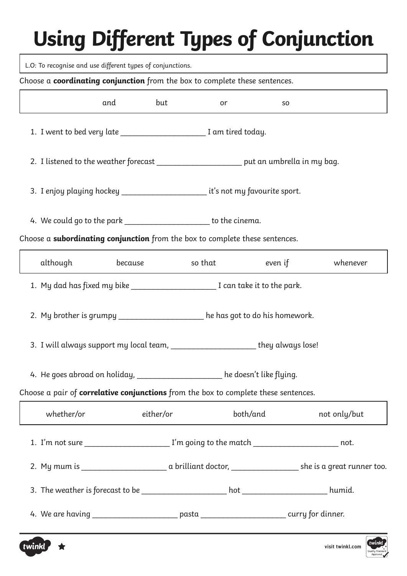L.O: To recognise and use different types of conjunctions.

#### Choose a **coordinating conjunction** from the box to complete these sentences.

|                                                                                                     | and                                                                                   | but | or | SO.                     |              |  |  |  |  |
|-----------------------------------------------------------------------------------------------------|---------------------------------------------------------------------------------------|-----|----|-------------------------|--------------|--|--|--|--|
| 1. I went to bed very late _________________________ I am tired today.                              |                                                                                       |     |    |                         |              |  |  |  |  |
| 2. I listened to the weather forecast ______________________ put an umbrella in my bag.             |                                                                                       |     |    |                         |              |  |  |  |  |
| 3. I enjoy playing hockey _______________________ it's not my favourite sport.                      |                                                                                       |     |    |                         |              |  |  |  |  |
|                                                                                                     | 4. We could go to the park ______________________ to the cinema.                      |     |    |                         |              |  |  |  |  |
| Choose a subordinating conjunction from the box to complete these sentences.                        |                                                                                       |     |    |                         |              |  |  |  |  |
| although and the set of the set of the set of the set of the set of the set of the set of the set o |                                                                                       |     |    | because so that even if | whenever     |  |  |  |  |
|                                                                                                     | 1. My dad has fixed my bike _______________________________I can take it to the park. |     |    |                         |              |  |  |  |  |
| 2. My brother is grumpy _________________ he has got to do his homework.                            |                                                                                       |     |    |                         |              |  |  |  |  |
| 3. I will always support my local team, _______________________they always lose!                    |                                                                                       |     |    |                         |              |  |  |  |  |
| 4. He goes abroad on holiday, __________________ he doesn't like flying.                            |                                                                                       |     |    |                         |              |  |  |  |  |
| Choose a pair of correlative conjunctions from the box to complete these sentences.                 |                                                                                       |     |    |                         |              |  |  |  |  |
| whether/or                                                                                          | either/or                                                                             |     |    | both/and                | not only/but |  |  |  |  |
| 1. I'm not sure __________________________ I'm going to the match ________________________ not.     |                                                                                       |     |    |                         |              |  |  |  |  |
|                                                                                                     |                                                                                       |     |    |                         |              |  |  |  |  |
|                                                                                                     |                                                                                       |     |    |                         |              |  |  |  |  |
| 4. We are having ___________________________pasta ___________________________curry for dinner.      |                                                                                       |     |    |                         |              |  |  |  |  |



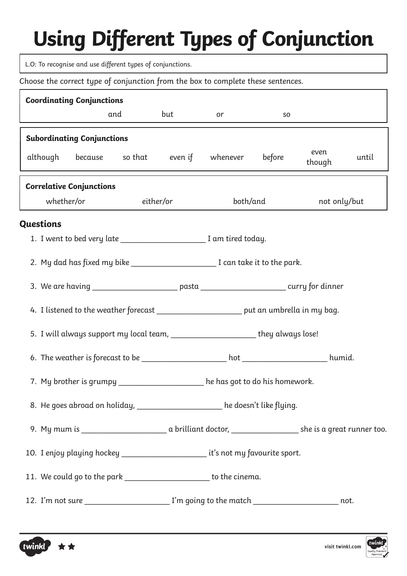L.O: To recognise and use different types of conjunctions.

Choose the correct type of conjunction from the box to complete these sentences.

|                                 | <b>Coordinating Conjunctions</b>                                                          |                                   |     |     |                                                                                                      |        |                |       |  |  |
|---------------------------------|-------------------------------------------------------------------------------------------|-----------------------------------|-----|-----|------------------------------------------------------------------------------------------------------|--------|----------------|-------|--|--|
|                                 |                                                                                           |                                   | and | but | or                                                                                                   | SO.    |                |       |  |  |
|                                 |                                                                                           | <b>Subordinating Conjunctions</b> |     |     |                                                                                                      |        |                |       |  |  |
|                                 |                                                                                           |                                   |     |     | although because so <sup>that</sup> even if whenever                                                 | before | even<br>though | until |  |  |
| <b>Correlative Conjunctions</b> |                                                                                           |                                   |     |     |                                                                                                      |        |                |       |  |  |
|                                 |                                                                                           | whether/or either/or              |     |     | both/and                                                                                             |        | not only/but   |       |  |  |
|                                 | <b>Questions</b>                                                                          |                                   |     |     |                                                                                                      |        |                |       |  |  |
|                                 |                                                                                           |                                   |     |     | 1. I went to bed very late ______________________ I am tired today.                                  |        |                |       |  |  |
|                                 |                                                                                           |                                   |     |     | 2. My dad has fixed my bike _______________________________I can take it to the park.                |        |                |       |  |  |
|                                 |                                                                                           |                                   |     |     | 3. We are having _________________________ pasta ___________________________ curry for dinner        |        |                |       |  |  |
|                                 | 4. I listened to the weather forecast ________________________ put an umbrella in my bag. |                                   |     |     |                                                                                                      |        |                |       |  |  |
|                                 |                                                                                           |                                   |     |     | 5. I will always support my local team, _______________________they always lose!                     |        |                |       |  |  |
|                                 |                                                                                           |                                   |     |     |                                                                                                      |        |                |       |  |  |
|                                 |                                                                                           |                                   |     |     | 7. My brother is grumpy ___________________ he has got to do his homework.                           |        |                |       |  |  |
|                                 |                                                                                           |                                   |     |     | 8. He goes abroad on holiday, ____________________ he doesn't like flying.                           |        |                |       |  |  |
|                                 |                                                                                           |                                   |     |     |                                                                                                      |        |                |       |  |  |
|                                 |                                                                                           |                                   |     |     | 10. I enjoy playing hockey ________________________ it's not my favourite sport.                     |        |                |       |  |  |
|                                 |                                                                                           |                                   |     |     | 11. We could go to the park _______________________ to the cinema.                                   |        |                |       |  |  |
|                                 |                                                                                           |                                   |     |     | 12. I'm not sure ____________________________ I'm going to the match __________________________ not. |        |                |       |  |  |



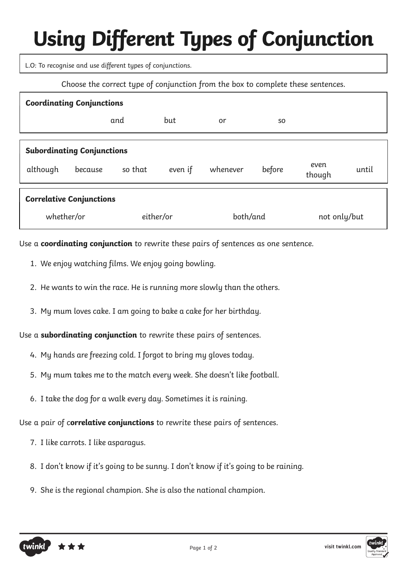L.O: To recognise and use different types of conjunctions.

Choose the correct type of conjunction from the box to complete these sentences.

| <b>Coordinating Conjunctions</b>                                         |         |         |         |          |        |                |       |  |  |
|--------------------------------------------------------------------------|---------|---------|---------|----------|--------|----------------|-------|--|--|
|                                                                          |         | and     | but     | or       | SO.    |                |       |  |  |
| <b>Subordinating Conjunctions</b><br>although                            | because | so that | even if | whenever | before | even<br>though | until |  |  |
| <b>Correlative Conjunctions</b><br>either/or<br>both/and<br>not only/but |         |         |         |          |        |                |       |  |  |
| whether/or                                                               |         |         |         |          |        |                |       |  |  |

Use a **coordinating conjunction** to rewrite these pairs of sentences as one sentence.

- 1. We enjoy watching films. We enjoy going bowling.
- 2. He wants to win the race. He is running more slowly than the others.
- 3. My mum loves cake. I am going to bake a cake for her birthday.

Use a **subordinating conjunction** to rewrite these pairs of sentences.

- 4. My hands are freezing cold. I forgot to bring my gloves today.
- 5. My mum takes me to the match every week. She doesn't like football.
- 6. I take the dog for a walk every day. Sometimes it is raining.

Use a pair of c**orrelative conjunctions** to rewrite these pairs of sentences.

- 7. I like carrots. I like asparagus.
- 8. I don't know if it's going to be sunny. I don't know if it's going to be raining.
- 9. She is the regional champion. She is also the national champion.



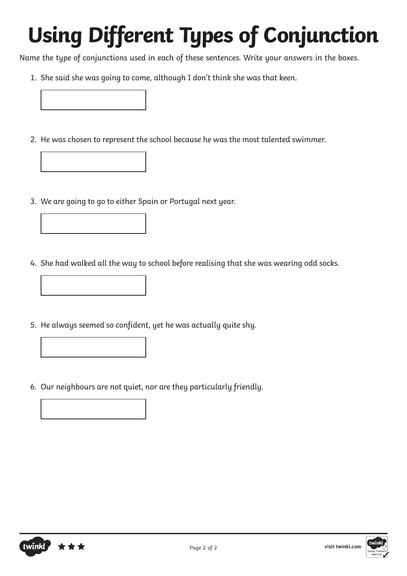Name the type of conjunctions used in each of these sentences. Write your answers in the boxes.

- 1. She said she was going to come, although I don't think she was that keen.
- 2. He was chosen to represent the school because he was the most talented swimmer.
- 3. We are going to go to either Spain or Portugal next year.
- 4. She had walked all the way to school before realising that she was wearing odd socks.
- 5. He always seemed so confident, yet he was actually quite shy.
- 6. Our neighbours are not quiet, nor are they particularly friendly.



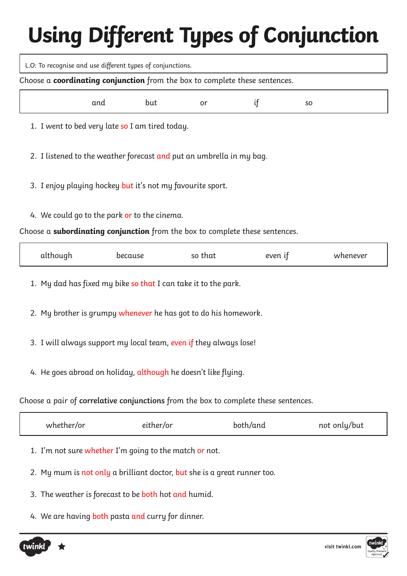L.O: To recognise and use different types of conjunctions.

Choose a **coordinating conjunction** from the box to complete these sentences.

| and but or if so |  |  |
|------------------|--|--|
|                  |  |  |

1. I went to bed very late so I am tired today.

2. I listened to the weather forecast and put an umbrella in my bag.

- 3. I enjoy playing hockey but it's not my favourite sport.
- 4. We could go to the park or to the cinema.

Choose a **subordinating conjunction** from the box to complete these sentences.

| w<br>эı<br>ւյւսւ<br>- |  | $\overline{\mathbf{H}}$ | .<br>r r | 010n | never |
|-----------------------|--|-------------------------|----------|------|-------|
|-----------------------|--|-------------------------|----------|------|-------|

1. My dad has fixed my bike so that I can take it to the park.

- 2. My brother is grumpy whenever he has got to do his homework.
- 3. I will always support my local team, even if they always lose!
- 4. He goes abroad on holiday, although he doesn't like flying.

Choose a pair of **correlative conjunctions** from the box to complete these sentences.

| whether/or | either/or | both/and | not only/but |
|------------|-----------|----------|--------------|
|            |           |          |              |

- 1. I'm not sure whether I'm going to the match or not.
- 2. My mum is not only a brilliant doctor, but she is a great runner too.
- 3. The weather is forecast to be both hot and humid.
- 4. We are having both pasta and curry for dinner.

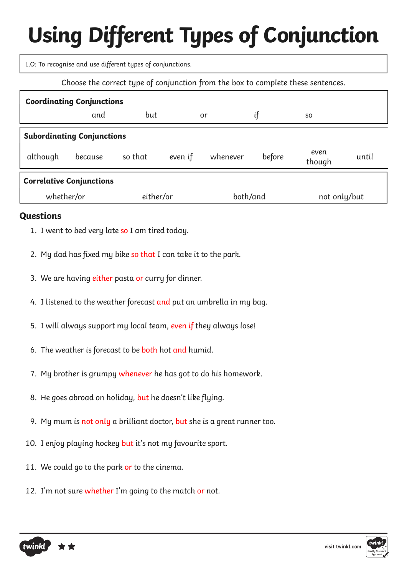L.O: To recognise and use different types of conjunctions.

Choose the correct type of conjunction from the box to complete these sentences.

| <b>Coordinating Conjunctions</b>  |         |           |         |          |          |                |       |  |  |
|-----------------------------------|---------|-----------|---------|----------|----------|----------------|-------|--|--|
|                                   | and     | but       |         | or       | if       | S <sub>O</sub> |       |  |  |
| <b>Subordinating Conjunctions</b> |         |           |         |          |          |                |       |  |  |
| although                          | because | so that   | even if | whenever | before   | even<br>though | until |  |  |
| <b>Correlative Conjunctions</b>   |         |           |         |          |          |                |       |  |  |
| whether/or                        |         | either/or |         |          | both/and | not only/but   |       |  |  |

#### **Questions**

- 1. I went to bed very late so I am tired today.
- 2. My dad has fixed my bike so that I can take it to the park.
- 3. We are having either pasta or curry for dinner.
- 4. I listened to the weather forecast and put an umbrella in my bag.
- 5. I will always support my local team, even if they always lose!
- 6. The weather is forecast to be both hot and humid.
- 7. My brother is grumpy whenever he has got to do his homework.
- 8. He goes abroad on holiday, but he doesn't like flying.
- 9. My mum is not only a brilliant doctor, but she is a great runner too.
- 10. I enjoy playing hockey but it's not my favourite sport.
- 11. We could go to the park or to the cinema.
- 12. I'm not sure whether I'm going to the match or not.

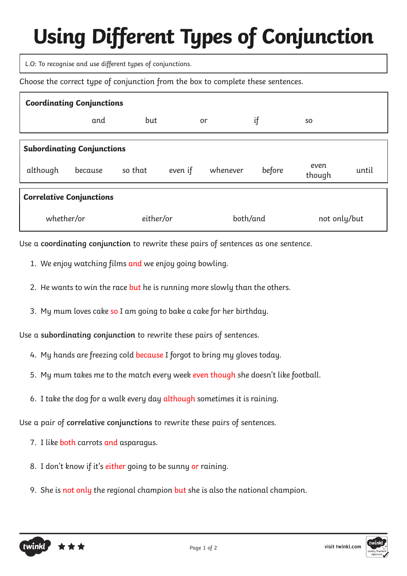L.O: To recognise and use different types of conjunctions.

Choose the correct type of conjunction from the box to complete these sentences.

| <b>Coordinating Conjunctions</b> |                                   |           |         |          |          |                |       |  |  |
|----------------------------------|-----------------------------------|-----------|---------|----------|----------|----------------|-------|--|--|
|                                  | and                               | but       |         | or       | if       | <b>SO</b>      |       |  |  |
|                                  | <b>Subordinating Conjunctions</b> |           |         |          |          |                |       |  |  |
|                                  |                                   |           |         |          |          |                |       |  |  |
| although                         | because                           | so that   | even if | whenever | before   | even<br>though | until |  |  |
| <b>Correlative Conjunctions</b>  |                                   |           |         |          |          |                |       |  |  |
| whether/or                       |                                   | either/or |         |          | both/and | not only/but   |       |  |  |

Use a **coordinating conjunction** to rewrite these pairs of sentences as one sentence.

- 1. We enjoy watching films and we enjoy going bowling.
- 2. He wants to win the race but he is running more slowly than the others.
- 3. My mum loves cake so I am going to bake a cake for her birthday.

Use a **subordinating conjunction** to rewrite these pairs of sentences.

- 4. My hands are freezing cold because I forgot to bring my gloves today.
- 5. My mum takes me to the match every week even though she doesn't like football.
- 6. I take the dog for a walk every day although sometimes it is raining.

Use a pair of **correlative conjunctions** to rewrite these pairs of sentences.

- 7. I like both carrots and asparagus.
- 8. I don't know if it's either going to be sunny or raining.
- 9. She is not only the regional champion but she is also the national champion.